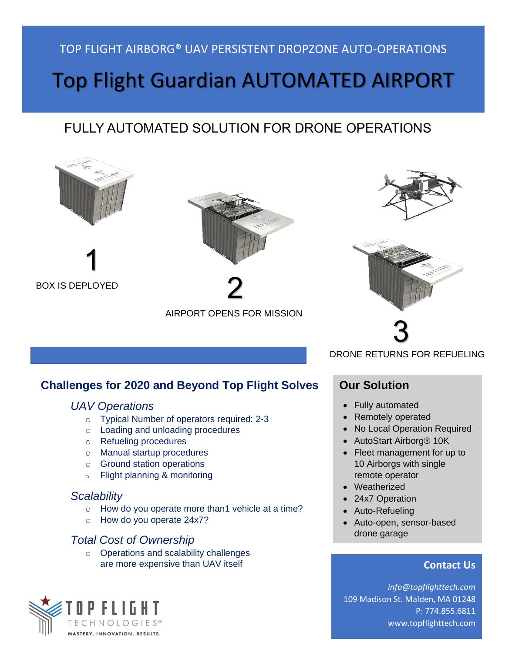### TOP FLIGHT AIRBORG® UAV PERSISTENT DROPZONE AUTO-OPERATIONS

# Top Flight Guardian AUTOMATED AIRPORT

## FULLY AUTOMATED SOLUTION FOR DRONE OPERATIONS



BOX IS DEPLOYED



2

AIRPORT OPENS FOR MISSION

## **Challenges for 2020 and Beyond Top Flight Solves**

#### *UAV Operations*

- o Typical Number of operators required: 2-3
- o Loading and unloading procedures
- o Refueling procedures
- o Manual startup procedures
- o Ground station operations
- o Flight planning & monitoring

#### *Scalability*

- $\circ$  How do you operate more than1 vehicle at a time?
- o How do you operate 24x7?

#### *Total Cost of Ownership*

o Operations and scalability challenges are more expensive than UAV itself







DRONE RETURNS FOR REFUELING

#### **Our Solution**

- Fully automated
- Remotely operated
- No Local Operation Required
- AutoStart Airborg® 10K
- Fleet management for up to 10 Airborgs with single remote operator
- Weatherized
- 24x7 Operation
- Auto-Refueling
- Auto-open, sensor-based drone garage

#### **Contact Us**

*[info@topflighttech.com](mailto:info@topflighttech.com)* 109 Madison St. Malden, MA 01248 P: 774.855.6811 www.topflighttech.com